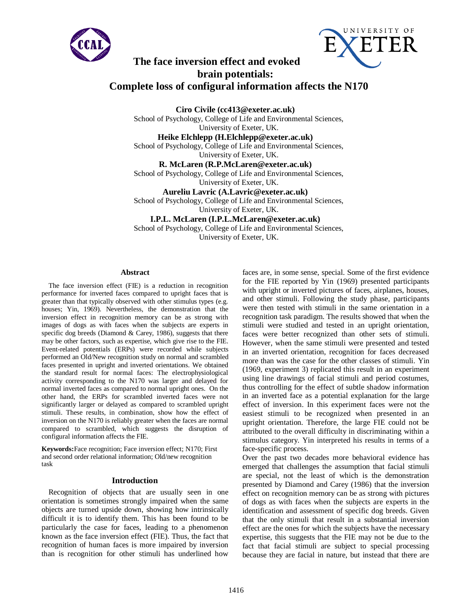



# **The face inversion effect and evoked brain potentials: Complete loss of configural information affects the N170**

**Ciro Civile (cc413@exeter.ac.uk)** School of Psychology, College of Life and Environmental Sciences, University of Exeter, UK.

**Heike Elchlepp (H.Elchlepp@exeter.ac.uk)** School of Psychology, College of Life and Environmental Sciences, University of Exeter, UK.

**R. McLaren (R.P.McLaren@exeter.ac.uk)** School of Psychology, College of Life and Environmental Sciences, University of Exeter, UK.

**Aureliu Lavric (A.Lavric@exeter.ac.uk)** School of Psychology, College of Life and Environmental Sciences, University of Exeter, UK.

**I.P.L. McLaren (I.P.L.McLaren@exeter.ac.uk)** School of Psychology, College of Life and Environmental Sciences, University of Exeter, UK.

## **Abstract**

The face inversion effect (FIE) is a reduction in recognition performance for inverted faces compared to upright faces that is greater than that typically observed with other stimulus types (e.g. houses; Yin, 1969). Nevertheless, the demonstration that the inversion effect in recognition memory can be as strong with images of dogs as with faces when the subjects are experts in specific dog breeds (Diamond & Carey, 1986), suggests that there may be other factors, such as expertise, which give rise to the FIE. Event-related potentials (ERPs) were recorded while subjects performed an Old/New recognition study on normal and scrambled faces presented in upright and inverted orientations. We obtained the standard result for normal faces: The electrophysiological activity corresponding to the N170 was larger and delayed for normal inverted faces as compared to normal upright ones. On the other hand, the ERPs for scrambled inverted faces were not significantly larger or delayed as compared to scrambled upright stimuli. These results, in combination, show how the effect of inversion on the N170 is reliably greater when the faces are normal compared to scrambled, which suggests the disruption of configural information affects the FIE.

**Keywords:**Face recognition; Face inversion effect; N170; First and second order relational information; Old/new recognition task

#### **Introduction**

Recognition of objects that are usually seen in one orientation is sometimes strongly impaired when the same objects are turned upside down, showing how intrinsically difficult it is to identify them. This has been found to be particularly the case for faces, leading to a phenomenon known as the face inversion effect (FIE). Thus, the fact that recognition of human faces is more impaired by inversion than is recognition for other stimuli has underlined how

faces are, in some sense, special. Some of the first evidence for the FIE reported by Yin (1969) presented participants with upright or inverted pictures of faces, airplanes, houses, and other stimuli. Following the study phase, participants were then tested with stimuli in the same orientation in a recognition task paradigm. The results showed that when the stimuli were studied and tested in an upright orientation, faces were better recognized than other sets of stimuli. However, when the same stimuli were presented and tested in an inverted orientation, recognition for faces decreased more than was the case for the other classes of stimuli. Yin (1969, experiment 3) replicated this result in an experiment using line drawings of facial stimuli and period costumes, thus controlling for the effect of subtle shadow information in an inverted face as a potential explanation for the large effect of inversion. In this experiment faces were not the easiest stimuli to be recognized when presented in an upright orientation. Therefore, the large FIE could not be attributed to the overall difficulty in discriminating within a stimulus category. Yin interpreted his results in terms of a face-specific process.

Over the past two decades more behavioral evidence has emerged that challenges the assumption that facial stimuli are special, not the least of which is the demonstration presented by Diamond and Carey (1986) that the inversion effect on recognition memory can be as strong with pictures of dogs as with faces when the subjects are experts in the identification and assessment of specific dog breeds. Given that the only stimuli that result in a substantial inversion effect are the ones for which the subjects have the necessary expertise, this suggests that the FIE may not be due to the fact that facial stimuli are subject to special processing because they are facial in nature, but instead that there are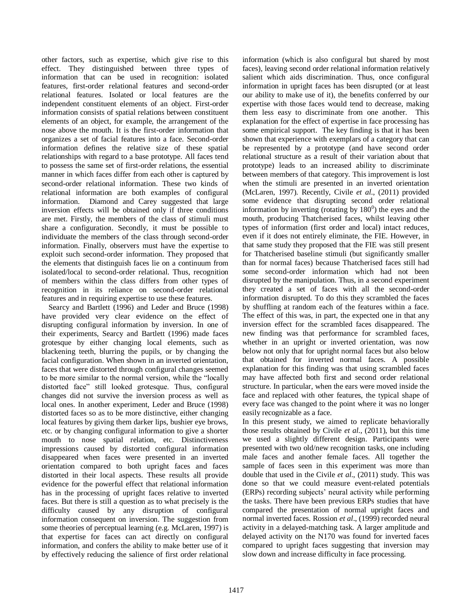other factors, such as expertise, which give rise to this effect. They distinguished between three types of information that can be used in recognition: isolated features, first-order relational features and second-order relational features. Isolated or local features are the independent constituent elements of an object. First-order information consists of spatial relations between constituent elements of an object, for example, the arrangement of the nose above the mouth. It is the first-order information that organizes a set of facial features into a face. Second-order information defines the relative size of these spatial relationships with regard to a base prototype. All faces tend to possess the same set of first-order relations, the essential manner in which faces differ from each other is captured by second-order relational information. These two kinds of relational information are both examples of configural information. Diamond and Carey suggested that large inversion effects will be obtained only if three conditions are met. Firstly, the members of the class of stimuli must share a configuration. Secondly, it must be possible to individuate the members of the class through second-order information. Finally, observers must have the expertise to exploit such second-order information. They proposed that the elements that distinguish faces lie on a continuum from isolated/local to second-order relational. Thus, recognition of members within the class differs from other types of recognition in its reliance on second-order relational features and in requiring expertise to use these features.

Searcy and Bartlett (1996) and Leder and Bruce (1998) have provided very clear evidence on the effect of disrupting configural information by inversion. In one of their experiments, Searcy and Bartlett (1996) made faces grotesque by either changing local elements, such as blackening teeth, blurring the pupils, or by changing the facial configuration. When shown in an inverted orientation, faces that were distorted through configural changes seemed to be more similar to the normal version, while the "locally distorted face" still looked grotesque. Thus, configural changes did not survive the inversion process as well as local ones. In another experiment, Leder and Bruce (1998) distorted faces so as to be more distinctive, either changing local features by giving them darker lips, bushier eye brows, etc. or by changing configural information to give a shorter mouth to nose spatial relation, etc. Distinctiveness impressions caused by distorted configural information disappeared when faces were presented in an inverted orientation compared to both upright faces and faces distorted in their local aspects. These results all provide evidence for the powerful effect that relational information has in the processing of upright faces relative to inverted faces. But there is still a question as to what precisely is the difficulty caused by any disruption of configural information consequent on inversion. The suggestion from some theories of perceptual learning (e.g. McLaren, 1997) is that expertise for faces can act directly on configural information, and confers the ability to make better use of it by effectively reducing the salience of first order relational

information (which is also configural but shared by most faces), leaving second order relational information relatively salient which aids discrimination. Thus, once configural information in upright faces has been disrupted (or at least our ability to make use of it), the benefits conferred by our expertise with those faces would tend to decrease, making them less easy to discriminate from one another. This explanation for the effect of expertise in face processing has some empirical support. The key finding is that it has been shown that experience with exemplars of a category that can be represented by a prototype (and have second order relational structure as a result of their variation about that prototype) leads to an increased ability to discriminate between members of that category. This improvement is lost when the stimuli are presented in an inverted orientation (McLaren, 1997). Recently, Civile *et al*., (2011) provided some evidence that disrupting second order relational information by inverting (rotating by  $180<sup>0</sup>$ ) the eyes and the mouth, producing Thatcherised faces, whilst leaving other types of information (first order and local) intact reduces, even if it does not entirely eliminate, the FIE. However, in that same study they proposed that the FIE was still present for Thatcherised baseline stimuli (but significantly smaller than for normal faces) because Thatcherised faces still had some second-order information which had not been disrupted by the manipulation. Thus, in a second experiment they created a set of faces with all the second-order information disrupted. To do this they scrambled the faces by shuffling at random each of the features within a face. The effect of this was, in part, the expected one in that any inversion effect for the scrambled faces disappeared. The new finding was that performance for scrambled faces, whether in an upright or inverted orientation, was now below not only that for upright normal faces but also below that obtained for inverted normal faces. A possible explanation for this finding was that using scrambled faces may have affected both first and second order relational structure. In particular, when the ears were moved inside the face and replaced with other features, the typical shape of every face was changed to the point where it was no longer easily recognizable as a face.

In this present study, we aimed to replicate behaviorally those results obtained by Civile *et al*., (2011), but this time we used a slightly different design. Participants were presented with two old/new recognition tasks, one including male faces and another female faces. All together the sample of faces seen in this experiment was more than double that used in the Civile *et al*., (2011) study. This was done so that we could measure event-related potentials (ERPs) recording subjects' neural activity while performing the tasks. There have been previous ERPs studies that have compared the presentation of normal upright faces and normal inverted faces. Rossion *et al*., (1999) recorded neural activity in a delayed-matching task. A larger amplitude and delayed activity on the N170 was found for inverted faces compared to upright faces suggesting that inversion may slow down and increase difficulty in face processing.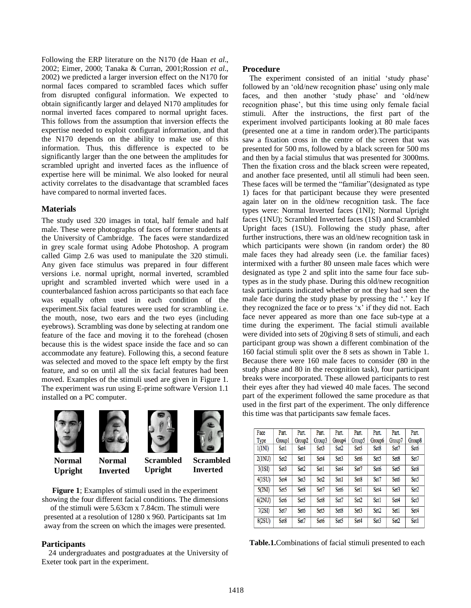Following the ERP literature on the N170 (de Haan *et al*., 2002; Eimer, 2000; Tanaka & Curran, 2001;Rossion *et al*., 2002) we predicted a larger inversion effect on the N170 for normal faces compared to scrambled faces which suffer from disrupted configural information. We expected to obtain significantly larger and delayed N170 amplitudes for normal inverted faces compared to normal upright faces. This follows from the assumption that inversion effects the expertise needed to exploit configural information, and that the N170 depends on the ability to make use of this information. Thus, this difference is expected to be significantly larger than the one between the amplitudes for scrambled upright and inverted faces as the influence of expertise here will be minimal. We also looked for neural activity correlates to the disadvantage that scrambled faces have compared to normal inverted faces.

## **Materials**

The study used 320 images in total, half female and half male. These were photographs of faces of former students at the University of Cambridge. The faces were standardized in grey scale format using Adobe Photoshop. A program called Gimp 2.6 was used to manipulate the 320 stimuli. Any given face stimulus was prepared in four different versions i.e. normal upright, normal inverted, scrambled upright and scrambled inverted which were used in a counterbalanced fashion across participants so that each face was equally often used in each condition of the experiment.Six facial features were used for scrambling i.e. the mouth, nose, two ears and the two eyes (including eyebrows). Scrambling was done by selecting at random one feature of the face and moving it to the forehead (chosen because this is the widest space inside the face and so can accommodate any feature). Following this, a second feature was selected and moved to the space left empty by the first feature, and so on until all the six facial features had been moved. Examples of the stimuli used are given in Figure 1. The experiment was run using E-prime software Version 1.1 installed on a PC computer.



**Normal Upright**

**Normal** 



**Scrambled Inverted Scrambled Upright**

**Figure 1**; Examples of stimuli used in the experiment showing the four different facial conditions. The dimensions of the stimuli were 5.63cm x 7.84cm. The stimuli were presented at a resolution of 1280 x 960. Participants sat 1m away from the screen on which the images were presented.

# **Participants**

24 undergraduates and postgraduates at the University of Exeter took part in the experiment.

## **Procedure**

The experiment consisted of an initial 'study phase' followed by an 'old/new recognition phase' using only male faces, and then another 'study phase' and 'old/new recognition phase', but this time using only female facial stimuli. After the instructions, the first part of the experiment involved participants looking at 80 male faces (presented one at a time in random order).The participants saw a fixation cross in the centre of the screen that was presented for 500 ms, followed by a black screen for 500 ms and then by a facial stimulus that was presented for 3000ms. Then the fixation cross and the black screen were repeated, and another face presented, until all stimuli had been seen. These faces will be termed the "familiar"(designated as type 1) faces for that participant because they were presented again later on in the old/new recognition task. The face types were: Normal Inverted faces (1NI); Normal Upright faces (1NU); Scrambled Inverted faces (1SI) and Scrambled Upright faces (1SU). Following the study phase, after further instructions, there was an old/new recognition task in which participants were shown (in random order) the 80 male faces they had already seen (i.e. the familiar faces) intermixed with a further 80 unseen male faces which were designated as type 2 and split into the same four face subtypes as in the study phase. During this old/new recognition task participants indicated whether or not they had seen the male face during the study phase by pressing the '.' key If they recognized the face or to press 'x' if they did not. Each face never appeared as more than one face sub-type at a time during the experiment. The facial stimuli available were divided into sets of 20giving 8 sets of stimuli, and each participant group was shown a different combination of the 160 facial stimuli split over the 8 sets as shown in Table 1. Because there were 160 male faces to consider (80 in the study phase and 80 in the recognition task), four participant breaks were incorporated. These allowed participants to rest their eyes after they had viewed 40 male faces. The second part of the experiment followed the same procedure as that used in the first part of the experiment. The only difference this time was that participants saw female faces.

| Face   | Part.            | Part.            | Part.            | Part.            | Part.            | Part.            | Part.            | Part.            |
|--------|------------------|------------------|------------------|------------------|------------------|------------------|------------------|------------------|
| Type   | Group1           | Group2           | Group3           | Group4           | Group5           | Group6           | Group7           | Group8           |
| 1(1NI) | Set1             | Set4             | Set <sub>3</sub> | Set <sub>2</sub> | Set <sub>5</sub> | Set8             | Set7             | Set <sub>6</sub> |
| 2(1NU) | Set <sub>2</sub> | Set1             | Set4             | Set <sub>3</sub> | Set <sub>6</sub> | Set <sub>5</sub> | Set <sub>8</sub> | Set7             |
| 3(1S)  | Set <sub>3</sub> | Set <sub>2</sub> | Set1             | Set <sub>4</sub> | Set7             | Set <sub>6</sub> | Set <sub>5</sub> | Set8             |
| 4(1SU) | Set4             | Set <sub>3</sub> | Set <sub>2</sub> | Set1             | Set8             | Set7             | Set <sub>6</sub> | Set <sub>5</sub> |
| 5(2NI) | Set <sub>5</sub> | Set8             | Set7             | Set <sub>6</sub> | Set1             | Set4             | Set <sub>3</sub> | Set <sub>2</sub> |
| 6(2NU) | Set <sub>6</sub> | Set <sub>5</sub> | Set8             | Set7             | Set <sub>2</sub> | Set1             | Set <sub>4</sub> | Set <sub>3</sub> |
| 7(2SI) | Set7             | Set <sub>6</sub> | Set <sub>5</sub> | Set <sub>8</sub> | Set <sub>3</sub> | Set <sub>2</sub> | Set1             | Set4             |
| 8(2SU) | Set8             | Set7             | Set <sub>6</sub> | Set <sub>5</sub> | Set4             | Set <sub>3</sub> | Set <sub>2</sub> | Set1             |

**Table.1.**Combinations of facial stimuli presented to each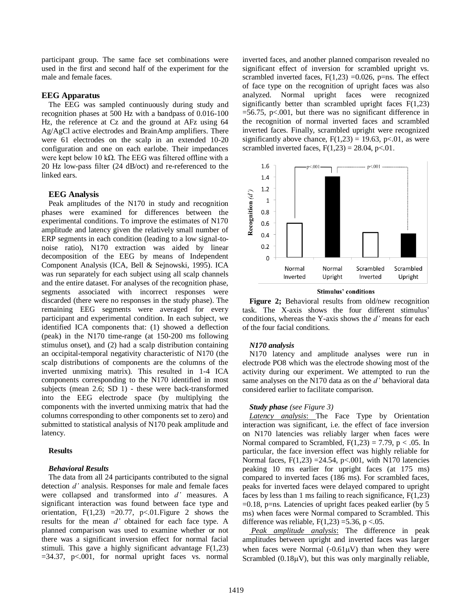participant group. The same face set combinations were used in the first and second half of the experiment for the male and female faces.

## **EEG Apparatus**

The EEG was sampled continuously during study and recognition phases at 500 Hz with a bandpass of 0.016-100 Hz, the reference at Cz and the ground at AFz using 64 Ag/AgCl active electrodes and BrainAmp amplifiers. There were 61 electrodes on the scalp in an extended 10-20 configuration and one on each earlobe. Their impedances were kept below 10 kΩ. The EEG was filtered offline with a 20 Hz low-pass filter (24 dB/oct) and re-referenced to the linked ears.

### **EEG Analysis**

Peak amplitudes of the N170 in study and recognition phases were examined for differences between the experimental conditions. To improve the estimates of N170 amplitude and latency given the relatively small number of ERP segments in each condition (leading to a low signal-tonoise ratio), N170 extraction was aided by linear decomposition of the EEG by means of Independent Component Analysis (ICA, Bell & Sejnowski, 1995). ICA was run separately for each subject using all scalp channels and the entire dataset. For analyses of the recognition phase, segments associated with incorrect responses were discarded (there were no responses in the study phase). The remaining EEG segments were averaged for every participant and experimental condition. In each subject, we identified ICA components that: (1) showed a deflection (peak) in the N170 time-range (at 150-200 ms following stimulus onset), and (2) had a scalp distribution containing an occipital-temporal negativity characteristic of N170 (the scalp distributions of components are the columns of the inverted unmixing matrix). This resulted in 1-4 ICA components corresponding to the N170 identified in most subjects (mean 2.6; SD 1) - these were back-transformed into the EEG electrode space (by multiplying the components with the inverted unmixing matrix that had the columns corresponding to other components set to zero) and submitted to statistical analysis of N170 peak amplitude and latency.

#### **Results**

#### *Behavioral Results*

The data from all 24 participants contributed to the signal detection *d'* analysis. Responses for male and female faces were collapsed and transformed into *d'* measures. A significant interaction was found between face type and orientation,  $F(1,23) = 20.77$ ,  $p<0.01$ . Figure 2 shows the results for the mean *d'* obtained for each face type. A planned comparison was used to examine whether or not there was a significant inversion effect for normal facial stimuli. This gave a highly significant advantage F(1,23)  $=34.37$ ,  $p<.001$ , for normal upright faces vs. normal inverted faces, and another planned comparison revealed no significant effect of inversion for scrambled upright vs. scrambled inverted faces,  $F(1,23) = 0.026$ , p=ns. The effect of face type on the recognition of upright faces was also analyzed. Normal upright faces were recognized significantly better than scrambled upright faces F(1,23)  $=$  56.75, p<.001, but there was no significant difference in the recognition of normal inverted faces and scrambled inverted faces. Finally, scrambled upright were recognized significantly above chance,  $F(1,23) = 19.63$ , p<.01, as were scrambled inverted faces,  $F(1,23) = 28.04$ , p<.01.



**Stimulus' conditions** 

**Figure 2;** Behavioral results from old/new recognition task. The X-axis shows the four different stimulus' conditions, whereas the Y-axis shows the *d'* means for each of the four facial conditions.

#### *N170 analysis*

N170 latency and amplitude analyses were run in electrode PO8 which was the electrode showing most of the activity during our experiment. We attempted to run the same analyses on the N170 data as on the *d'* behavioral data considered earlier to facilitate comparison.

#### *Study phase (see Figure 3)*

*Latency analysis*: The Face Type by Orientation interaction was significant, i.e. the effect of face inversion on N170 latencies was reliably larger when faces were Normal compared to Scrambled,  $F(1,23) = 7.79$ ,  $p < .05$ . In particular, the face inversion effect was highly reliable for Normal faces,  $F(1,23) = 24.54$ ,  $p < .001$ , with N170 latencies peaking 10 ms earlier for upright faces (at 175 ms) compared to inverted faces (186 ms). For scrambled faces, peaks for inverted faces were delayed compared to upright faces by less than 1 ms failing to reach significance,  $F(1,23)$  $=0.18$ , p=ns. Latencies of upright faces peaked earlier (by 5) ms) when faces were Normal compared to Scrambled. This difference was reliable,  $F(1,23) = 5.36$ , p <.05.

*Peak amplitude analysis*: The difference in peak amplitudes between upright and inverted faces was larger when faces were Normal  $(-0.61\mu V)$  than when they were Scrambled  $(0.18\mu V)$ , but this was only marginally reliable,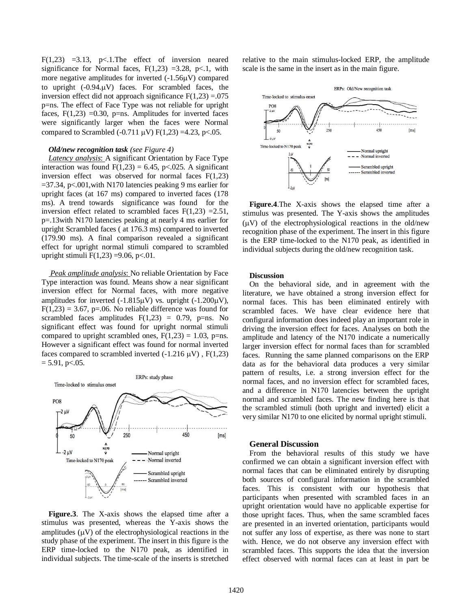F(1,23) =3.13, p $\lt$ .1. The effect of inversion neared significance for Normal faces,  $F(1,23) = 3.28$ , p<.1, with more negative amplitudes for inverted  $(-1.56\mu V)$  compared to upright  $(-0.94 \mu V)$  faces. For scrambled faces, the inversion effect did not approach significance  $F(1,23) = .075$ p=ns. The effect of Face Type was not reliable for upright faces,  $F(1,23) = 0.30$ , p=ns. Amplitudes for inverted faces were significantly larger when the faces were Normal compared to Scrambled (-0.711  $\mu$ V) F(1,23) =4.23, p<.05.

### *Old/new recognition task (see Figure 4)*

*Latency analysis*: A significant Orientation by Face Type interaction was found  $F(1,23) = 6.45$ , p<.025*.* A significant inversion effect was observed for normal faces F(1,23)  $=$  37.34, p<.001, with N170 latencies peaking 9 ms earlier for upright faces (at 167 ms) compared to inverted faces (178 ms). A trend towards significance was found for the inversion effect related to scrambled faces  $F(1,23) = 2.51$ , p=.13with N170 latencies peaking at nearly 4 ms earlier for upright Scrambled faces ( at 176.3 ms) compared to inverted (179.90 ms). A final comparison revealed a significant effect for upright normal stimuli compared to scrambled upright stimuli  $F(1,23) = 9.06$ , p<.01.

*Peak amplitude analysis*: No reliable Orientation by Face Type interaction was found. Means show a near significant inversion effect for Normal faces, with more negative amplitudes for inverted  $(-1.815\mu V)$  vs. upright  $(-1.200\mu V)$ ,  $F(1,23) = 3.67$ , p=.06. No reliable difference was found for scrambled faces amplitudes  $F(1,23) = 0.79$ , p=ns. No significant effect was found for upright normal stimuli compared to upright scrambled ones,  $F(1,23) = 1.03$ , p=ns. However a significant effect was found for normal inverted faces compared to scrambled inverted  $(-1.216 \mu V)$ , F $(1,23)$  $= 5.91$ , p $< .05$ .



**Figure.3**. The X-axis shows the elapsed time after a stimulus was presented, whereas the Y-axis shows the amplitudes  $(\mu V)$  of the electrophysiological reactions in the study phase of the experiment. The insert in this figure is the ERP time-locked to the N170 peak, as identified in individual subjects. The time-scale of the inserts is stretched relative to the main stimulus-locked ERP, the amplitude scale is the same in the insert as in the main figure.



**Figure.4**.The X-axis shows the elapsed time after a stimulus was presented. The Y-axis shows the amplitudes  $(\mu V)$  of the electrophysiological reactions in the old/new recognition phase of the experiment. The insert in this figure is the ERP time-locked to the N170 peak, as identified in individual subjects during the old/new recognition task.

#### **Discussion**

On the behavioral side, and in agreement with the literature, we have obtained a strong inversion effect for normal faces. This has been eliminated entirely with scrambled faces. We have clear evidence here that configural information does indeed play an important role in driving the inversion effect for faces. Analyses on both the amplitude and latency of the N170 indicate a numerically larger inversion effect for normal faces than for scrambled faces. Running the same planned comparisons on the ERP data as for the behavioral data produces a very similar pattern of results, i.e. a strong inversion effect for the normal faces, and no inversion effect for scrambled faces, and a difference in N170 latencies between the upright normal and scrambled faces. The new finding here is that the scrambled stimuli (both upright and inverted) elicit a very similar N170 to one elicited by normal upright stimuli.

## **General Discussion**

From the behavioral results of this study we have confirmed we can obtain a significant inversion effect with normal faces that can be eliminated entirely by disrupting both sources of configural information in the scrambled faces. This is consistent with our hypothesis that participants when presented with scrambled faces in an upright orientation would have no applicable expertise for those upright faces. Thus, when the same scrambled faces are presented in an inverted orientation, participants would not suffer any loss of expertise, as there was none to start with. Hence, we do not observe any inversion effect with scrambled faces. This supports the idea that the inversion effect observed with normal faces can at least in part be